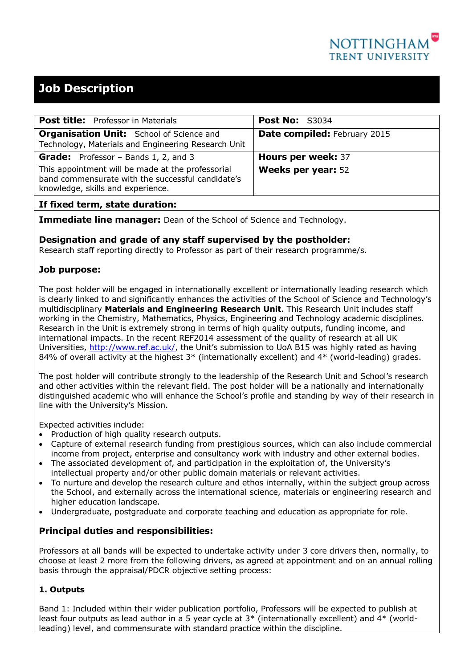

# **Job Description**

| <b>Post title:</b> Professor in Materials                                                                                                   | <b>Post No: S3034</b>               |  |
|---------------------------------------------------------------------------------------------------------------------------------------------|-------------------------------------|--|
| <b>Organisation Unit:</b> School of Science and<br>Technology, Materials and Engineering Research Unit                                      | <b>Date compiled: February 2015</b> |  |
| <b>Grade:</b> Professor – Bands 1, 2, and 3                                                                                                 | Hours per week: 37                  |  |
| This appointment will be made at the professorial<br>band commensurate with the successful candidate's<br>knowledge, skills and experience. | <b>Weeks per year: 52</b>           |  |
|                                                                                                                                             |                                     |  |

## **If fixed term, state duration:**

**Immediate line manager:** Dean of the School of Science and Technology.

#### **Designation and grade of any staff supervised by the postholder:**

Research staff reporting directly to Professor as part of their research programme/s.

## **Job purpose:**

The post holder will be engaged in internationally excellent or internationally leading research which is clearly linked to and significantly enhances the activities of the School of Science and Technology's multidisciplinary **Materials and Engineering Research Unit**. This Research Unit includes staff working in the Chemistry, Mathematics, Physics, Engineering and Technology academic disciplines. Research in the Unit is extremely strong in terms of high quality outputs, funding income, and international impacts. In the recent REF2014 assessment of the quality of research at all UK Universities, [http://www.ref.ac.uk/,](http://www.ref.ac.uk/) the Unit's submission to UoA B15 was highly rated as having 84% of overall activity at the highest  $3*$  (internationally excellent) and  $4*$  (world-leading) grades.

The post holder will contribute strongly to the leadership of the Research Unit and School's research and other activities within the relevant field. The post holder will be a nationally and internationally distinguished academic who will enhance the School's profile and standing by way of their research in line with the University's Mission.

Expected activities include:

- Production of high quality research outputs.
- Capture of external research funding from prestigious sources, which can also include commercial income from project, enterprise and consultancy work with industry and other external bodies.
- The associated development of, and participation in the exploitation of, the University's intellectual property and/or other public domain materials or relevant activities.
- To nurture and develop the research culture and ethos internally, within the subject group across the School, and externally across the international science, materials or engineering research and higher education landscape.
- Undergraduate, postgraduate and corporate teaching and education as appropriate for role.

## **Principal duties and responsibilities:**

Professors at all bands will be expected to undertake activity under 3 core drivers then, normally, to choose at least 2 more from the following drivers, as agreed at appointment and on an annual rolling basis through the appraisal/PDCR objective setting process:

#### **1. Outputs**

Band 1: Included within their wider publication portfolio, Professors will be expected to publish at least four outputs as lead author in a 5 year cycle at 3\* (internationally excellent) and 4\* (worldleading) level, and commensurate with standard practice within the discipline.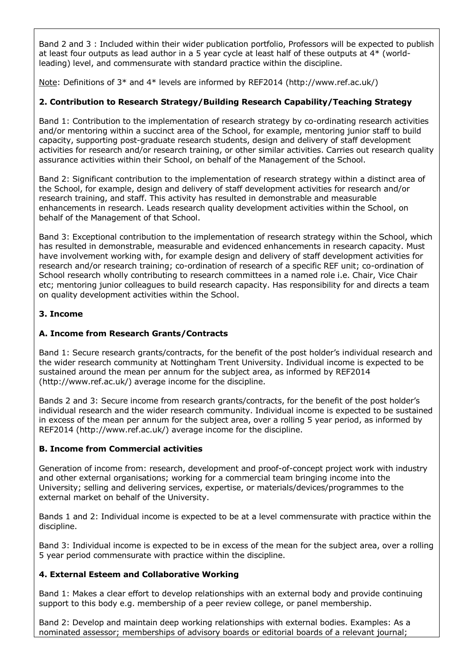Band 2 and 3 : Included within their wider publication portfolio, Professors will be expected to publish at least four outputs as lead author in a 5 year cycle at least half of these outputs at 4\* (worldleading) level, and commensurate with standard practice within the discipline.

Note: Definitions of 3\* and 4\* levels are informed by REF2014 (http://www.ref.ac.uk/)

## **2. Contribution to Research Strategy/Building Research Capability/Teaching Strategy**

Band 1: Contribution to the implementation of research strategy by co-ordinating research activities and/or mentoring within a succinct area of the School, for example, mentoring junior staff to build capacity, supporting post-graduate research students, design and delivery of staff development activities for research and/or research training, or other similar activities. Carries out research quality assurance activities within their School, on behalf of the Management of the School.

Band 2: Significant contribution to the implementation of research strategy within a distinct area of the School, for example, design and delivery of staff development activities for research and/or research training, and staff. This activity has resulted in demonstrable and measurable enhancements in research. Leads research quality development activities within the School, on behalf of the Management of that School.

Band 3: Exceptional contribution to the implementation of research strategy within the School, which has resulted in demonstrable, measurable and evidenced enhancements in research capacity. Must have involvement working with, for example design and delivery of staff development activities for research and/or research training; co-ordination of research of a specific REF unit; co-ordination of School research wholly contributing to research committees in a named role i.e. Chair, Vice Chair etc; mentoring junior colleagues to build research capacity. Has responsibility for and directs a team on quality development activities within the School.

### **3. Income**

## **A. Income from Research Grants/Contracts**

Band 1: Secure research grants/contracts, for the benefit of the post holder's individual research and the wider research community at Nottingham Trent University. Individual income is expected to be sustained around the mean per annum for the subject area, as informed by REF2014 (http://www.ref.ac.uk/) average income for the discipline.

Bands 2 and 3: Secure income from research grants/contracts, for the benefit of the post holder's individual research and the wider research community. Individual income is expected to be sustained in excess of the mean per annum for the subject area, over a rolling 5 year period, as informed by REF2014 (http://www.ref.ac.uk/) average income for the discipline.

#### **B. Income from Commercial activities**

Generation of income from: research, development and proof-of-concept project work with industry and other external organisations; working for a commercial team bringing income into the University; selling and delivering services, expertise, or materials/devices/programmes to the external market on behalf of the University.

Bands 1 and 2: Individual income is expected to be at a level commensurate with practice within the discipline.

Band 3: Individual income is expected to be in excess of the mean for the subject area, over a rolling 5 year period commensurate with practice within the discipline.

#### **4. External Esteem and Collaborative Working**

Band 1: Makes a clear effort to develop relationships with an external body and provide continuing support to this body e.g. membership of a peer review college, or panel membership.

Band 2: Develop and maintain deep working relationships with external bodies. Examples: As a nominated assessor; memberships of advisory boards or editorial boards of a relevant journal;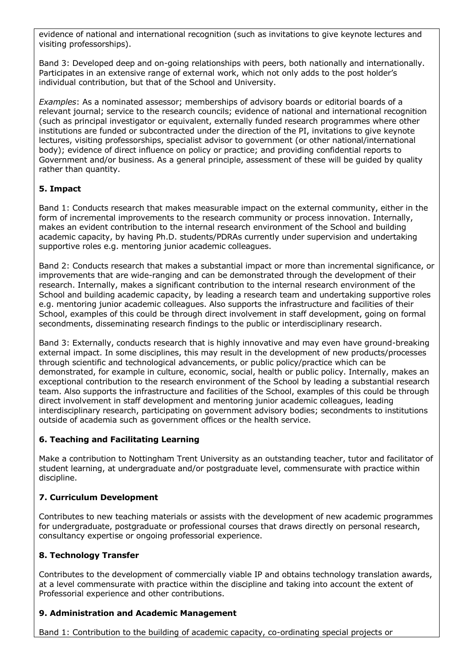evidence of national and international recognition (such as invitations to give keynote lectures and visiting professorships).

Band 3: Developed deep and on-going relationships with peers, both nationally and internationally. Participates in an extensive range of external work, which not only adds to the post holder's individual contribution, but that of the School and University.

*Examples*: As a nominated assessor; memberships of advisory boards or editorial boards of a relevant journal; service to the research councils; evidence of national and international recognition (such as principal investigator or equivalent, externally funded research programmes where other institutions are funded or subcontracted under the direction of the PI, invitations to give keynote lectures, visiting professorships, specialist advisor to government (or other national/international body); evidence of direct influence on policy or practice; and providing confidential reports to Government and/or business. As a general principle, assessment of these will be guided by quality rather than quantity.

## **5. Impact**

Band 1: Conducts research that makes measurable impact on the external community, either in the form of incremental improvements to the research community or process innovation. Internally, makes an evident contribution to the internal research environment of the School and building academic capacity, by having Ph.D. students/PDRAs currently under supervision and undertaking supportive roles e.g. mentoring junior academic colleagues.

Band 2: Conducts research that makes a substantial impact or more than incremental significance, or improvements that are wide-ranging and can be demonstrated through the development of their research. Internally, makes a significant contribution to the internal research environment of the School and building academic capacity, by leading a research team and undertaking supportive roles e.g. mentoring junior academic colleagues. Also supports the infrastructure and facilities of their School, examples of this could be through direct involvement in staff development, going on formal secondments, disseminating research findings to the public or interdisciplinary research.

Band 3: Externally, conducts research that is highly innovative and may even have ground-breaking external impact. In some disciplines, this may result in the development of new products/processes through scientific and technological advancements, or public policy/practice which can be demonstrated, for example in culture, economic, social, health or public policy. Internally, makes an exceptional contribution to the research environment of the School by leading a substantial research team. Also supports the infrastructure and facilities of the School, examples of this could be through direct involvement in staff development and mentoring junior academic colleagues, leading interdisciplinary research, participating on government advisory bodies; secondments to institutions outside of academia such as government offices or the health service.

#### **6. Teaching and Facilitating Learning**

Make a contribution to Nottingham Trent University as an outstanding teacher, tutor and facilitator of student learning, at undergraduate and/or postgraduate level, commensurate with practice within discipline.

#### **7. Curriculum Development**

Contributes to new teaching materials or assists with the development of new academic programmes for undergraduate, postgraduate or professional courses that draws directly on personal research, consultancy expertise or ongoing professorial experience.

#### **8. Technology Transfer**

Contributes to the development of commercially viable IP and obtains technology translation awards, at a level commensurate with practice within the discipline and taking into account the extent of Professorial experience and other contributions.

#### **9. Administration and Academic Management**

Band 1: Contribution to the building of academic capacity, co-ordinating special projects or